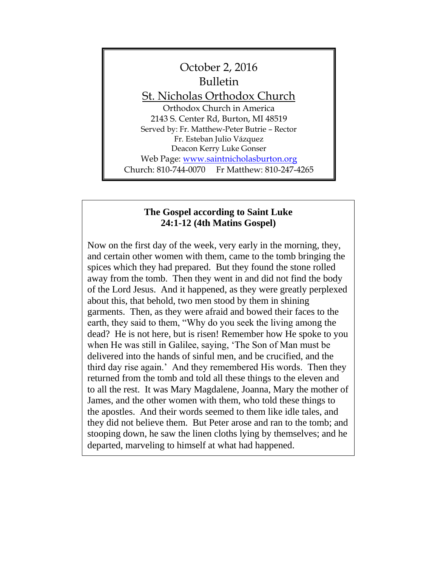

# **The Gospel according to Saint Luke 24:1-12 (4th Matins Gospel)**

Now on the first day of the week, very early in the morning, they, and certain other women with them, came to the tomb bringing the spices which they had prepared. But they found the stone rolled away from the tomb. Then they went in and did not find the body of the Lord Jesus. And it happened, as they were greatly perplexed about this, that behold, two men stood by them in shining garments. Then, as they were afraid and bowed their faces to the earth, they said to them, "Why do you seek the living among the dead? He is not here, but is risen! Remember how He spoke to you when He was still in Galilee, saying, 'The Son of Man must be delivered into the hands of sinful men, and be crucified, and the third day rise again.' And they remembered His words. Then they returned from the tomb and told all these things to the eleven and to all the rest. It was Mary Magdalene, Joanna, Mary the mother of James, and the other women with them, who told these things to the apostles. And their words seemed to them like idle tales, and they did not believe them. But Peter arose and ran to the tomb; and stooping down, he saw the linen cloths lying by themselves; and he departed, marveling to himself at what had happened.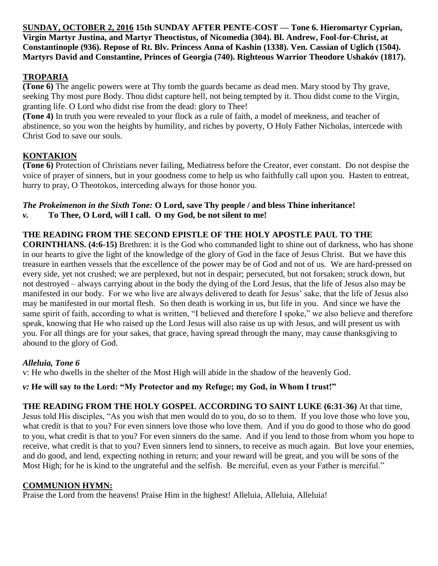**SUNDAY, OCTOBER 2, 2016 15th SUNDAY AFTER PENTE-COST — Tone 6. Hieromartyr Cyprian, Virgin Martyr Justina, and Martyr Theoctistus, of Nicomedia (304). Bl. Andrew, Fool-for-Christ, at Constantinople (936). Repose of Rt. Blv. Princess Anna of Kashin (1338). Ven. Cassian of Uglich (1504). Martyrs David and Constantine, Princes of Georgia (740). Righteous Warrior Theodore Ushakóv (1817).**

# **TROPARIA**

**(Tone 6)** The angelic powers were at Thy tomb the guards became as dead men. Mary stood by Thy grave, seeking Thy most pure Body. Thou didst capture hell, not being tempted by it. Thou didst come to the Virgin, granting life. O Lord who didst rise from the dead: glory to Thee!

**(Tone 4)** In truth you were revealed to your flock as a rule of faith, a model of meekness, and teacher of abstinence, so you won the heights by humility, and riches by poverty, O Holy Father Nicholas, intercede with Christ God to save our souls.

# **KONTAKION**

**(Tone 6)** Protection of Christians never failing, Mediatress before the Creator, ever constant. Do not despise the voice of prayer of sinners, but in your goodness come to help us who faithfully call upon you. Hasten to entreat, hurry to pray, O Theotokos, interceding always for those honor you.

# *The Prokeimenon in the Sixth Tone:* **O Lord, save Thy people / and bless Thine inheritance!**

*v.* **To Thee, O Lord, will I call. O my God, be not silent to me!**

# **THE READING FROM THE SECOND EPISTLE OF THE HOLY APOSTLE PAUL TO THE**

**CORINTHIANS. (4:6-15)** Brethren: it is the God who commanded light to shine out of darkness, who has shone in our hearts to give the light of the knowledge of the glory of God in the face of Jesus Christ.But we have this treasure in earthen vessels that the excellence of the power may be of God and not of us.We are hard-pressed on every side, yet not crushed; we are perplexed, but not in despair; persecuted, but not forsaken; struck down, but not destroyed – always carrying about in the body the dying of the Lord Jesus, that the life of Jesus also may be manifested in our body.For we who live are always delivered to death for Jesus' sake, that the life of Jesus also may be manifested in our mortal flesh.So then death is working in us, but life in you.And since we have the same spirit of faith, according to what is written, "I believed and therefore I spoke," we also believe and therefore speak, knowing that He who raised up the Lord Jesus will also raise us up with Jesus, and will present us with you. For all things are for your sakes, that grace, having spread through the many, may cause thanksgiving to abound to the glory of God.

# *Alleluia, Tone 6*

v: He who dwells in the shelter of the Most High will abide in the shadow of the heavenly God.

# *v:* **He will say to the Lord: "My Protector and my Refuge; my God, in Whom I trust!"**

**THE READING FROM THE HOLY GOSPEL ACCORDING TO SAINT LUKE (6:31-36)** At that time,

Jesus told His disciples, "As you wish that men would do to you, do so to them. If you love those who love you, what credit is that to you? For even sinners love those who love them. And if you do good to those who do good to you, what credit is that to you? For even sinners do the same. And if you lend to those from whom you hope to receive, what credit is that to you? Even sinners lend to sinners, to receive as much again. But love your enemies, and do good, and lend, expecting nothing in return; and your reward will be great, and you will be sons of the Most High; for he is kind to the ungrateful and the selfish. Be merciful, even as your Father is merciful."

# **COMMUNION HYMN:**

Praise the Lord from the heavens! Praise Him in the highest! Alleluia, Alleluia, Alleluia!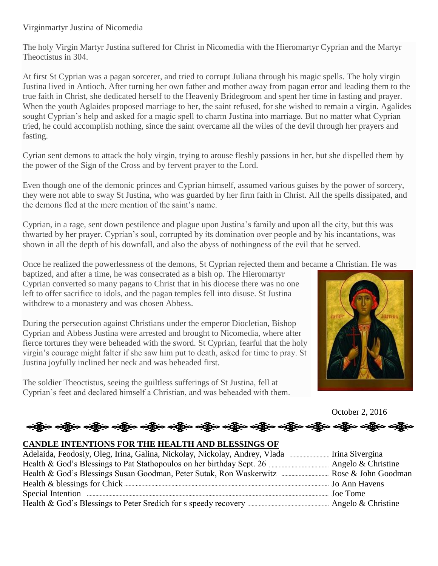# Virginmartyr Justina of Nicomedia

The holy Virgin Martyr Justina suffered for Christ in Nicomedia with the Hieromartyr Cyprian and the Martyr Theoctistus in 304.

At first St Cyprian was a pagan sorcerer, and tried to corrupt Juliana through his magic spells. The holy virgin Justina lived in Antioch. After turning her own father and mother away from pagan error and leading them to the true faith in Christ, she dedicated herself to the Heavenly Bridegroom and spent her time in fasting and prayer. When the youth Aglaides proposed marriage to her, the saint refused, for she wished to remain a virgin. Agalides sought Cyprian's help and asked for a magic spell to charm Justina into marriage. But no matter what Cyprian tried, he could accomplish nothing, since the saint overcame all the wiles of the devil through her prayers and fasting.

Cyrian sent demons to attack the holy virgin, trying to arouse fleshly passions in her, but she dispelled them by the power of the Sign of the Cross and by fervent prayer to the Lord.

Even though one of the demonic princes and Cyprian himself, assumed various guises by the power of sorcery, they were not able to sway St Justina, who was guarded by her firm faith in Christ. All the spells dissipated, and the demons fled at the mere mention of the saint's name.

Cyprian, in a rage, sent down pestilence and plague upon Justina's family and upon all the city, but this was thwarted by her prayer. Cyprian's soul, corrupted by its domination over people and by his incantations, was shown in all the depth of his downfall, and also the abyss of nothingness of the evil that he served.

Once he realized the powerlessness of the demons, St Cyprian rejected them and became a Christian. He was

baptized, and after a time, he was consecrated as a bish op. The Hieromartyr Cyprian converted so many pagans to Christ that in his diocese there was no one left to offer sacrifice to idols, and the pagan temples fell into disuse. St Justina withdrew to a monastery and was chosen Abbess.

During the persecution against Christians under the emperor Diocletian, Bishop Cyprian and Abbess Justina were arrested and brought to Nicomedia, where after fierce tortures they were beheaded with the sword. St Cyprian, fearful that the holy virgin's courage might falter if she saw him put to death, asked for time to pray. St Justina joyfully inclined her neck and was beheaded first.

The soldier Theoctistus, seeing the guiltless sufferings of St Justina, fell at Cyprian's feet and declared himself a Christian, and was beheaded with them.



October 2, 2016

# ား လန္တီလ သန္တီလ သန္တီလ သန္တီလ သန္တီလ သန္တီလ သန္တီလ သန္တီလ သန္တီလ သန္တီလ

#### **CANDLE INTENTIONS FOR THE HEALTH AND BLESSINGS OF**

| Special Intention <i>manufacture and the content of the content of the special</i> Intention <i>Joe Tome</i> |  |
|--------------------------------------------------------------------------------------------------------------|--|
|                                                                                                              |  |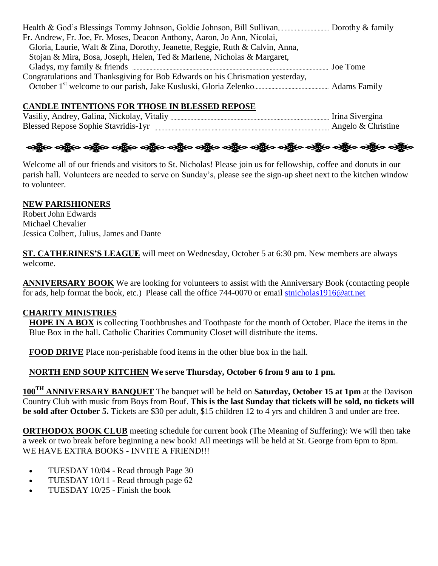| Fr. Andrew, Fr. Joe, Fr. Moses, Deacon Anthony, Aaron, Jo Ann, Nicolai,        |  |
|--------------------------------------------------------------------------------|--|
| Gloria, Laurie, Walt & Zina, Dorothy, Jeanette, Reggie, Ruth & Calvin, Anna,   |  |
| Stojan & Mira, Bosa, Joseph, Helen, Ted & Marlene, Nicholas & Margaret,        |  |
|                                                                                |  |
| Congratulations and Thanksgiving for Bob Edwards on his Chrismation yesterday, |  |
|                                                                                |  |

# **CANDLE INTENTIONS FOR THOSE IN BLESSED REPOSE**

Vasiliy, Andrey, Galina, Nickolay, Vitaliy Irina Sivergina Blessed Repose Sophie Stavridis-1yr <sub>munimum</sub> munimum munimum munimum munimum Angelo & Christine



Welcome all of our friends and visitors to St. Nicholas! Please join us for fellowship, coffee and donuts in our parish hall. Volunteers are needed to serve on Sunday's, please see the sign-up sheet next to the kitchen window to volunteer.

# **NEW PARISHIONERS**

Robert John Edwards Michael Chevalier Jessica Colbert, Julius, James and Dante

**ST. CATHERINES'S LEAGUE** will meet on Wednesday, October 5 at 6:30 pm. New members are always welcome.

**ANNIVERSARY BOOK** We are looking for volunteers to assist with the Anniversary Book (contacting people for ads, help format the book, etc.) Please call the office 744-0070 or email [stnicholas1916@att.net](mailto:stnicholas1916@att.net)

# **CHARITY MINISTRIES**

**HOPE IN A BOX** is collecting Toothbrushes and Toothpaste for the month of October. Place the items in the Blue Box in the hall. Catholic Charities Community Closet will distribute the items.

**FOOD DRIVE** Place non-perishable food items in the other blue box in the hall.

# **NORTH END SOUP KITCHEN We serve Thursday, October 6 from 9 am to 1 pm.**

**100TH ANNIVERSARY BANQUET** The banquet will be held on **Saturday, October 15 at 1pm** at the Davison Country Club with music from Boys from Bouf. **This is the last Sunday that tickets will be sold, no tickets will be sold after October 5.** Tickets are \$30 per adult, \$15 children 12 to 4 yrs and children 3 and under are free.

**ORTHODOX BOOK CLUB** meeting schedule for current book (The Meaning of Suffering): We will then take a week or two break before beginning a new book! All meetings will be held at St. George from 6pm to 8pm. WE HAVE EXTRA BOOKS - INVITE A FRIEND!!!

- TUESDAY 10/04 Read through Page 30
- TUESDAY 10/11 Read through page 62
- TUESDAY 10/25 Finish the book